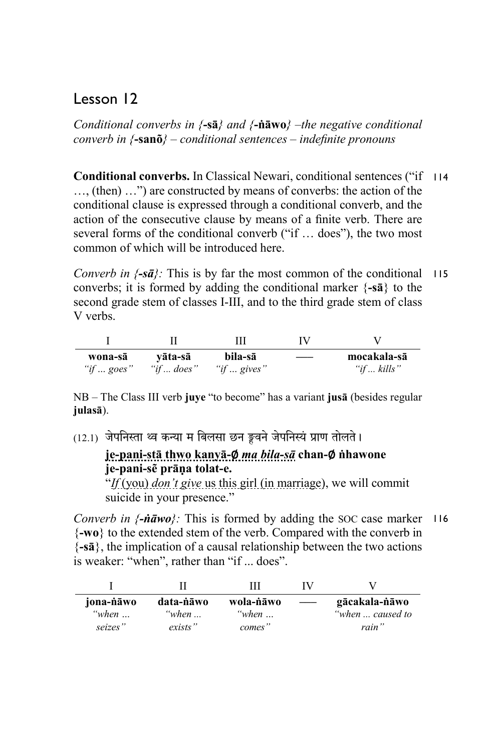## Lesson 12

*Conditional converbs in {***-sā***} and {***-ṅāwo***} –the negative conditional converb in {***-sanõ***} – conditional sentences – indefinite pronouns*

**Conditional converbs.** In Classical Newari, conditional sentences ("if 114 …, (then) …") are constructed by means of converbs: the action of the conditional clause is expressed through a conditional converb, and the action of the consecutive clause by means of a finite verb. There are several forms of the conditional converb ("if … does"), the two most common of which will be introduced here.

*Converb in*  $\{-s\bar{a}\}$ *:* This is by far the most common of the conditional 115 converbs; it is formed by adding the conditional marker {**-sā**} to the second grade stem of classes I-III, and to the third grade stem of class V verbs.

|                    |                    | ш           | ΙV |               |
|--------------------|--------------------|-------------|----|---------------|
| wona-sā            | vāta-sā            | bila-sā     |    | mocakala-sā   |
| "if $\ldots$ goes" | "if $\ldots$ does" | "if  gives" |    | " $if$ kills" |

NB – The Class III verb **juye** "to become" has a variant **jusā** (besides regular **julasā**).

(12.1) जेपनिस्ता थ्व कन्या म बिलसा छन ङ्कवने जेपनिस्यं प्राण तोलते।

**je-pani-stā thwo kanyā-**∅ *ma bila-sā* **chan-**∅ **ṅhawone je-pani-sẽ prāṇa tolat-e.** 

"*If* (you) *don't give* us this girl (in marriage), we will commit suicide in your presence."

*Converb in {-ṅāwo}:* This is formed by adding the SOC case marker 116 {**-wo**} to the extended stem of the verb. Compared with the converb in {**-sā**}, the implication of a causal relationship between the two actions is weaker: "when", rather than "if ... does".

|                             |                             | Ш                           | IV. |                                   |
|-----------------------------|-----------------------------|-----------------------------|-----|-----------------------------------|
| jona-nāwo<br>"when $\ldots$ | data-nāwo<br>"when $\ldots$ | wola-nāwo<br>"when $\ldots$ |     | gācakala-nāwo<br>"when  caused to |
| seizes"                     | exists"                     | comes"                      |     | rain"                             |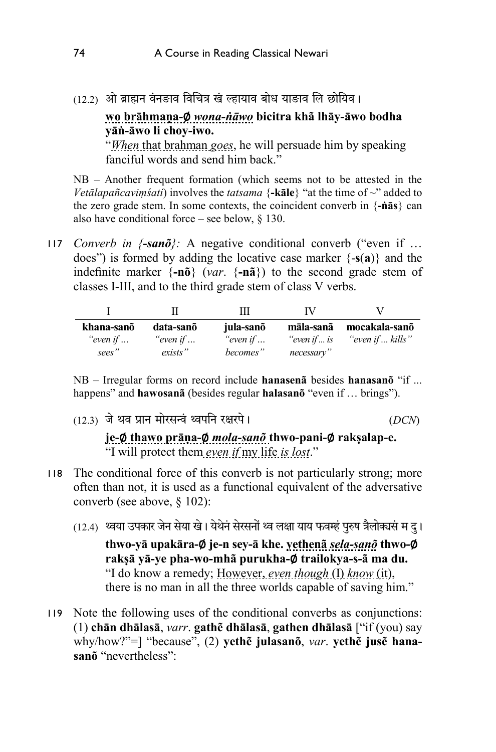(12.2) ओ ब्राह्मन वंनङाव विचित्र खं ल्हायाव बोध याङाव लि छोयिव।

## **wo brāhmaṇa-**∅ *wona-ṅāwo* **bicitra khã lhāy-āwo bodha yāṅ-āwo li choy-iwo.**

"*When* that brahman *goes*, he will persuade him by speaking fanciful words and send him back."

NB – Another frequent formation (which seems not to be attested in the *Vetālapañcaviṃśati*) involves the *tatsama* {**-kāle**} "at the time of ~" added to the zero grade stem. In some contexts, the coincident converb in {**-ṅās**} can also have conditional force – see below,  $\S$  130.

*Converb in {-sanõ}:* A negative conditional converb ("even if … 117 does") is formed by adding the locative case marker {-**s**(**a**)} and the indefinite marker {**-nõ**} (*var*. {**-nã**}) to the second grade stem of classes I-III, and to the third grade stem of class V verbs.

|            |                   |                   | $\mathbf{N}$ |                  |
|------------|-------------------|-------------------|--------------|------------------|
| khana-sanõ | data-sanõ         | jula-sanõ         | māla-sanã    | mocakala-sanõ    |
| "even if   | "even if $\ldots$ | "even if $\ldots$ | "even if  is | "even if  kills" |
| sees"      | exists"           | becomes"          | necessary"   |                  |

NB – Irregular forms on record include **hanasenã** besides **hanasanõ** "if ... happens" and **hawosanã** (besides regular **halasanõ** "even if … brings").

(12.3) जेथव पान मोरस�ं �पिन र�रपेר) *DCN*)

**je-**∅ **thawo prāṇa-**∅ *mola-sanõ* **thwo-pani-**∅ **rakṣalap-e.** "I will protect them *even if* my life *is lost*."

- The conditional force of this converb is not particularly strong; more 118 often than not, it is used as a functional equivalent of the adversative converb (see above, § 102):
	- (12.4) थ्वया उपकार जेन सेया खे। येथेनं सेरसनों थ्व लक्षा याय फवम्हं पुरुष त्रैलोक्यसं म दु।

**thwo-yā upakāra-**∅ **je-n sey-ā khe. yethenã** *sela-sanõ* **thwo-**∅ **rakṣā yā-ye pha-wo-mhã purukha-**∅ **trailokya-s-ã ma du.** "I do know a remedy; However, *even though* (I) *know* (it), there is no man in all the three worlds capable of saving him."

Note the following uses of the conditional converbs as conjunctions: 119(1) **chān dhālasā**, *varr*. **gathẽ dhālasā**, **gathen dhālasā** ["if (you) say why/how?"=] "because", (2) **yethẽ julasanõ**, *var*. **yethẽ jusẽ hanasanõ** "nevertheless":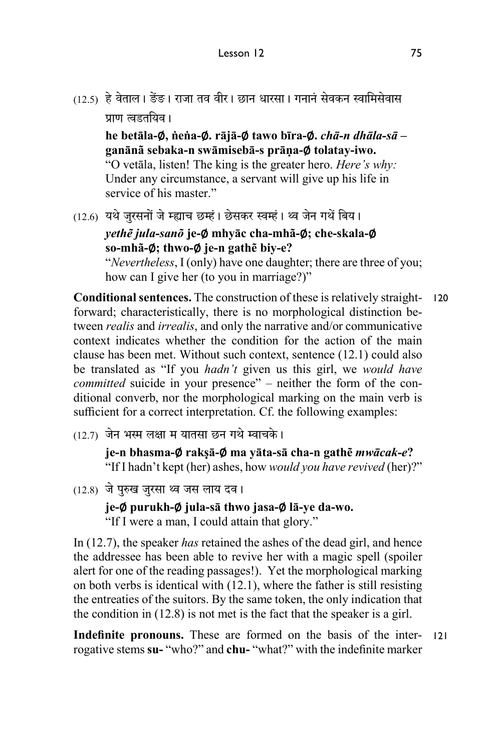(12.5) हे वेताल। ङेंङ। राजा तव वीर। छान धारसा। गनानं सेवकन स्वामिसेवास प्राण त्वडतयिव ।

**he betāla-**∅**, ṅeṅa-**∅**. rājā-**∅ **tawo bīra-**∅**.** *chā-n dhāla-sā* **– ganānã sebaka-n swāmisebā-s prāṇa-**∅ **tolatay-iwo.**  "O vetāla, listen! The king is the greater hero. *Here's why:* Under any circumstance, a servant will give up his life in service of his master."

(12.6) यथे जुरसनों जे म्ह्याच छम्हं। छेसकर स्वम्हं। थ्व जेन गथें बिय।

*yethẽ jula-sanõ* **je-**∅ **mhyāc cha-mhã-**∅**; che-skala-**∅ **so-mhã-**∅**; thwo-**∅ **je-n gathẽ biy-e?**

"*Nevertheless*, I (only) have one daughter; there are three of you; how can I give her (to you in marriage?)"

**Conditional sentences.** The construction of these is relatively straightforward; characteristically, there is no morphological distinction between *realis* and *irrealis*, and only the narrative and/or communicative context indicates whether the condition for the action of the main clause has been met. Without such context, sentence (12.1) could also be translated as "If you *hadn't* given us this girl, we *would have committed* suicide in your presence" – neither the form of the conditional converb, nor the morphological marking on the main verb is sufficient for a correct interpretation. Cf. the following examples: 120

 $(12.7)$  जेन भस्म लक्षा म यातसा छन गथे म्वाचके ।

**je-n bhasma-**∅ **rakṣā-**∅ **ma yāta-sā cha-n gathẽ** *mwācak-e***?**  "If I hadn't kept (her) ashes, how *would you have revived* (her)?"

(12.8) जे पुरुख जुरसा थ्व जस लाय दव। **je-**∅ **purukh-**∅ **jula-sā thwo jasa-**∅ **lā-ye da-wo.**  "If I were a man, I could attain that glory."

In (12.7), the speaker *has* retained the ashes of the dead girl, and hence the addressee has been able to revive her with a magic spell (spoiler alert for one of the reading passages!). Yet the morphological marking on both verbs is identical with (12.1), where the father is still resisting the entreaties of the suitors. By the same token, the only indication that the condition in (12.8) is not met is the fact that the speaker is a girl.

**Indefinite pronouns.** These are formed on the basis of the interrogative stems **su-** "who?" and **chu-** "what?" with the indefinite marker 121